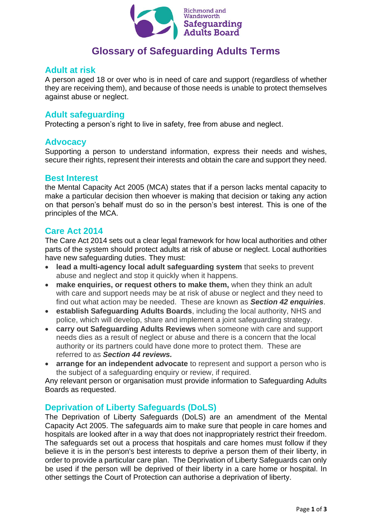

# **Glossary of Safeguarding Adults Terms**

## **Adult at risk**

A person aged 18 or over who is in need of care and support (regardless of whether they are receiving them), and because of those needs is unable to protect themselves against abuse or neglect.

## **Adult safeguarding**

Protecting a person's right to live in safety, free from abuse and neglect.

#### **Advocacy**

Supporting a person to understand information, express their needs and wishes, secure their rights, represent their interests and obtain the care and support they need.

## **Best Interest**

the Mental Capacity Act 2005 (MCA) states that if a person lacks mental capacity to make a particular decision then whoever is making that decision or taking any action on that person's behalf must do so in the person's best interest. This is one of the principles of the MCA.

## **Care Act 2014**

The Care Act 2014 sets out a clear legal framework for how local authorities and other parts of the system should protect adults at risk of abuse or neglect. Local authorities have new safeguarding duties. They must:

- **lead a multi-agency local adult safeguarding system** that seeks to prevent abuse and neglect and stop it quickly when it happens.
- **make enquiries, or request others to make them,** when they think an adult with care and support needs may be at risk of abuse or neglect and they need to find out what action may be needed. These are known as *Section 42 enquiries*.
- **establish Safeguarding Adults Boards**, including the local authority, NHS and police, which will develop, share and implement a joint safeguarding strategy.
- **carry out Safeguarding Adults Reviews** when someone with care and support needs dies as a result of neglect or abuse and there is a concern that the local authority or its partners could have done more to protect them. These are referred to as *Section 44 reviews.*
- **arrange for an independent advocate** to represent and support a person who is the subject of a safeguarding enquiry or review, if required.

Any relevant person or organisation must provide information to Safeguarding Adults Boards as requested.

## **Deprivation of Liberty Safeguards (DoLS)**

The Deprivation of Liberty Safeguards (DoLS) are an amendment of the Mental Capacity Act 2005. The safeguards aim to make sure that people in care homes and hospitals are looked after in a way that does not inappropriately restrict their freedom. The safeguards set out a process that hospitals and care homes must follow if they believe it is in the person's best interests to deprive a person them of their liberty, in order to provide a particular care plan. The Deprivation of Liberty Safeguards can only be used if the person will be deprived of their liberty in a care home or hospital. In other settings the Court of Protection can authorise a deprivation of liberty.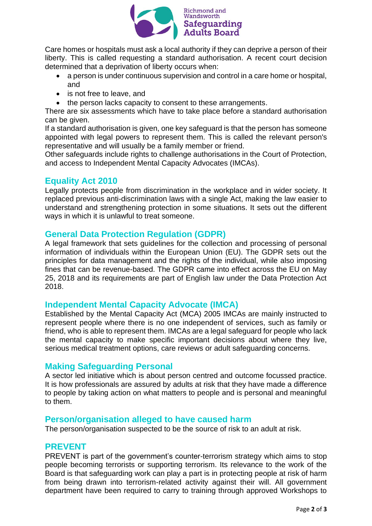

Care homes or hospitals must ask a local authority if they can deprive a person of their liberty. This is called requesting a standard authorisation. A recent court decision determined that a deprivation of liberty occurs when:

- a person is under continuous supervision and control in a care home or hospital, and
- is not free to leave, and
- the person lacks capacity to consent to these arrangements.

There are six assessments which have to take place before a standard authorisation can be given.

If a standard authorisation is given, one key safeguard is that the person has someone appointed with legal powers to represent them. This is called the relevant person's representative and will usually be a family member or friend.

Other safeguards include rights to challenge authorisations in the Court of Protection, and access to Independent Mental Capacity Advocates (IMCAs).

## **Equality Act 2010**

Legally protects people from discrimination in the workplace and in wider society. It replaced previous anti-discrimination laws with a single Act, making the law easier to understand and strengthening protection in some situations. It sets out the different ways in which it is unlawful to treat someone.

## **General Data Protection Regulation (GDPR)**

A legal framework that sets guidelines for the collection and processing of personal information of individuals within the European Union (EU). The GDPR sets out the principles for data management and the rights of the individual, while also imposing fines that can be revenue-based. The GDPR came into effect across the EU on May 25, 2018 and its requirements are part of English law under the Data Protection Act 2018.

## **Independent Mental Capacity Advocate (IMCA)**

Established by the Mental Capacity Act (MCA) 2005 IMCAs are mainly instructed to represent people where there is no one independent of services, such as family or friend, who is able to represent them. IMCAs are a legal safeguard for people who lack the mental capacity to make specific important decisions about where they live, serious medical treatment options, care reviews or adult safeguarding concerns.

## **Making Safeguarding Personal**

A sector led initiative which is about person centred and outcome focussed practice. It is how professionals are assured by adults at risk that they have made a difference to people by taking action on what matters to people and is personal and meaningful to them.

## **Person/organisation alleged to have caused harm**

The person/organisation suspected to be the source of risk to an adult at risk.

## **PREVENT**

PREVENT is part of the government's counter-terrorism strategy which aims to stop people becoming terrorists or supporting terrorism. Its relevance to the work of the Board is that safeguarding work can play a part is in protecting people at risk of harm from being drawn into terrorism-related activity against their will. All government department have been required to carry to training through approved Workshops to